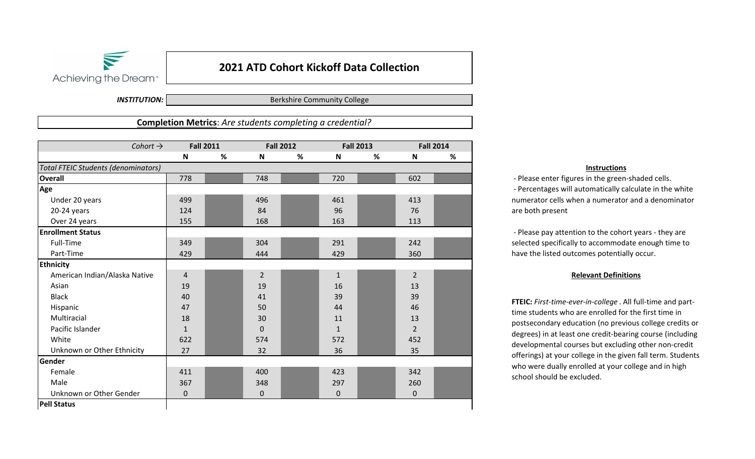

## **2021 ATD Cohort Kickoff Data Collection**

*INSTITUTION:*

Berkshire Community College

**Completion Metrics**: *Are students completing a credential?*

| Cohort $\rightarrow$                       | <b>Fall 2011</b> |   | <b>Fall 2012</b>          |   | <b>Fall 2013</b> |   | <b>Fall 2014</b>          |   |
|--------------------------------------------|------------------|---|---------------------------|---|------------------|---|---------------------------|---|
|                                            | $\mathbf N$      | % | $\boldsymbol{\mathsf{N}}$ | % | $\mathsf N$      | % | $\boldsymbol{\mathsf{N}}$ | % |
| <b>Total FTEIC Students (denominators)</b> |                  |   |                           |   |                  |   |                           |   |
| <b>Overall</b>                             | 778              |   | 748                       |   | 720              |   | 602                       |   |
| Age                                        |                  |   |                           |   |                  |   |                           |   |
| Under 20 years                             | 499              |   | 496                       |   | 461              |   | 413                       |   |
| 20-24 years                                | 124              |   | 84                        |   | 96               |   | 76                        |   |
| Over 24 years                              | 155              |   | 168                       |   | 163              |   | 113                       |   |
| <b>Enrollment Status</b>                   |                  |   |                           |   |                  |   |                           |   |
| Full-Time                                  | 349              |   | 304                       |   | 291              |   | 242                       |   |
| Part-Time                                  | 429              |   | 444                       |   | 429              |   | 360                       |   |
| <b>Ethnicity</b>                           |                  |   |                           |   |                  |   |                           |   |
| American Indian/Alaska Native              | $\overline{4}$   |   | $\overline{2}$            |   | $\mathbf{1}$     |   | $\overline{2}$            |   |
| Asian                                      | 19               |   | 19                        |   | 16               |   | 13                        |   |
| <b>Black</b>                               | 40               |   | 41                        |   | 39               |   | 39                        |   |
| Hispanic                                   | 47               |   | 50                        |   | 44               |   | 46                        |   |
| Multiracial                                | 18               |   | 30                        |   | 11               |   | 13                        |   |
| Pacific Islander                           | $\mathbf{1}$     |   | $\mathbf 0$               |   | $\mathbf{1}$     |   | $\overline{2}$            |   |
| White                                      | 622              |   | 574                       |   | 572              |   | 452                       |   |
| Unknown or Other Ethnicity                 | 27               |   | 32                        |   | 36               |   | 35                        |   |
| Gender                                     |                  |   |                           |   |                  |   |                           |   |
| Female                                     | 411              |   | 400                       |   | 423              |   | 342                       |   |
| Male                                       | 367              |   | 348                       |   | 297              |   | 260                       |   |
| Unknown or Other Gender                    | 0                |   | $\mathbf 0$               |   | 0                |   | $\mathbf 0$               |   |
| <b>Pell Status</b>                         |                  |   |                           |   |                  |   |                           |   |

## **Instructions**

 ‐ Please enter figures in the green‐shaded cells. ‐ Percentages will automatically calculate in the white numerator cells when a numerator and a denominator are both present

 ‐ Please pay attention to the cohort years ‐ they are selected specifically to accommodate enough time to have the listed outcomes potentially occur.

## **Relevant Definitions**

**FTEIC:** *First‐time‐ever‐in‐college* . All full‐time and part‐ time students who are enrolled for the first time in postsecondary education (no previous college credits or degrees) in at least one credit‐bearing course (including developmental courses but excluding other non‐credit offerings) at your college in the given fall term. Students who were dually enrolled at your college and in high school should be excluded.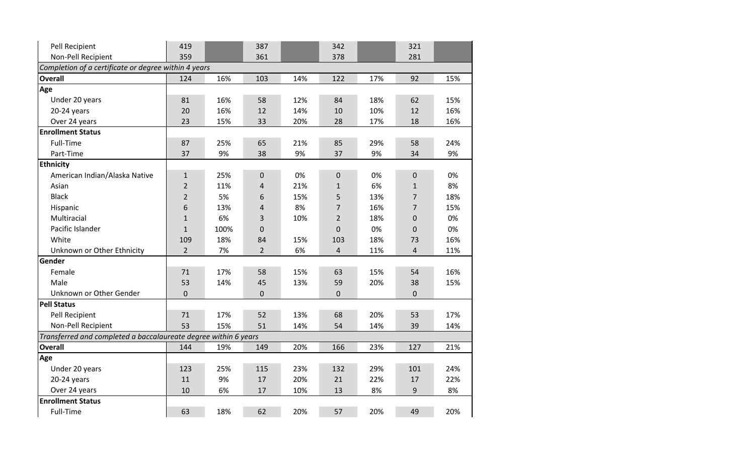| Pell Recipient                                                  | 419              |      | 387            |     | 342            |     | 321            |     |
|-----------------------------------------------------------------|------------------|------|----------------|-----|----------------|-----|----------------|-----|
| Non-Pell Recipient                                              | 359              |      | 361            |     | 378            |     | 281            |     |
| Completion of a certificate or degree within 4 years            |                  |      |                |     |                |     |                |     |
| <b>Overall</b>                                                  | 124              | 16%  | 103            | 14% | 122            | 17% | 92             | 15% |
| Age                                                             |                  |      |                |     |                |     |                |     |
| Under 20 years                                                  | 81               | 16%  | 58             | 12% | 84             | 18% | 62             | 15% |
| 20-24 years                                                     | 20               | 16%  | 12             | 14% | 10             | 10% | 12             | 16% |
| Over 24 years                                                   | 23               | 15%  | 33             | 20% | 28             | 17% | 18             | 16% |
| <b>Enrollment Status</b>                                        |                  |      |                |     |                |     |                |     |
| Full-Time                                                       | 87               | 25%  | 65             | 21% | 85             | 29% | 58             | 24% |
| Part-Time                                                       | 37               | 9%   | 38             | 9%  | 37             | 9%  | 34             | 9%  |
| <b>Ethnicity</b>                                                |                  |      |                |     |                |     |                |     |
| American Indian/Alaska Native                                   | $\mathbf{1}$     | 25%  | $\pmb{0}$      | 0%  | $\pmb{0}$      | 0%  | $\mathbf 0$    | 0%  |
| Asian                                                           | $\overline{2}$   | 11%  | 4              | 21% | $\mathbf{1}$   | 6%  | $\mathbf{1}$   | 8%  |
| <b>Black</b>                                                    | $\overline{2}$   | 5%   | 6              | 15% | 5              | 13% | $\overline{7}$ | 18% |
| Hispanic                                                        | $\boldsymbol{6}$ | 13%  | 4              | 8%  | $\overline{7}$ | 16% | $\overline{7}$ | 15% |
| Multiracial                                                     | $\mathbf{1}$     | 6%   | 3              | 10% | $\overline{2}$ | 18% | 0              | 0%  |
| Pacific Islander                                                | $\mathbf{1}$     | 100% | $\Omega$       |     | $\Omega$       | 0%  | $\Omega$       | 0%  |
| White                                                           | 109              | 18%  | 84             | 15% | 103            | 18% | 73             | 16% |
| Unknown or Other Ethnicity                                      | $\overline{2}$   | 7%   | $\overline{2}$ | 6%  | 4              | 11% | $\overline{4}$ | 11% |
| Gender                                                          |                  |      |                |     |                |     |                |     |
| Female                                                          | 71               | 17%  | 58             | 15% | 63             | 15% | 54             | 16% |
| Male                                                            | 53               | 14%  | 45             | 13% | 59             | 20% | 38             | 15% |
| Unknown or Other Gender                                         | $\mathbf 0$      |      | 0              |     | 0              |     | $\mathbf 0$    |     |
| <b>Pell Status</b>                                              |                  |      |                |     |                |     |                |     |
| Pell Recipient                                                  | 71               | 17%  | 52             | 13% | 68             | 20% | 53             | 17% |
| Non-Pell Recipient                                              | 53               | 15%  | 51             | 14% | 54             | 14% | 39             | 14% |
| Transferred and completed a baccalaureate degree within 6 years |                  |      |                |     |                |     |                |     |
| <b>Overall</b>                                                  | 144              | 19%  | 149            | 20% | 166            | 23% | 127            | 21% |
| Age                                                             |                  |      |                |     |                |     |                |     |
| Under 20 years                                                  | 123              | 25%  | 115            | 23% | 132            | 29% | 101            | 24% |
| 20-24 years                                                     | 11               | 9%   | 17             | 20% | 21             | 22% | 17             | 22% |
| Over 24 years                                                   | 10               | 6%   | 17             | 10% | 13             | 8%  | 9              | 8%  |
| <b>Enrollment Status</b>                                        |                  |      |                |     |                |     |                |     |
| Full-Time                                                       | 63               | 18%  | 62             | 20% | 57             | 20% | 49             | 20% |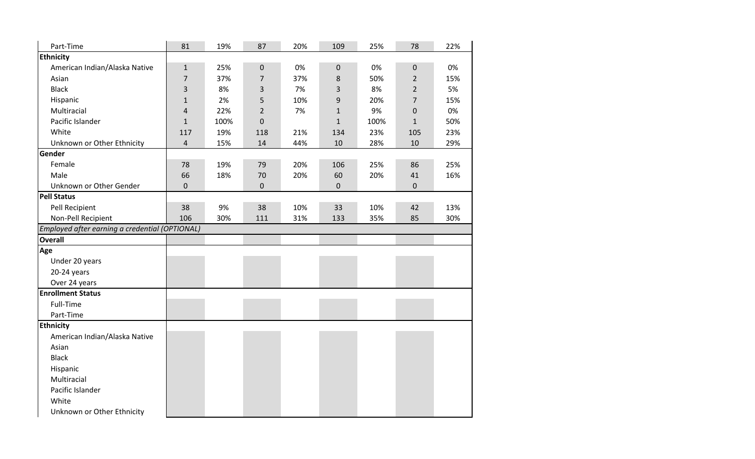| Part-Time                                      | 81                      | 19%  | 87             | 20% | 109          | 25%  | 78             | 22% |
|------------------------------------------------|-------------------------|------|----------------|-----|--------------|------|----------------|-----|
| <b>Ethnicity</b>                               |                         |      |                |     |              |      |                |     |
| American Indian/Alaska Native                  | $\mathbf 1$             | 25%  | $\pmb{0}$      | 0%  | $\mathbf 0$  | 0%   | $\mathbf 0$    | 0%  |
| Asian                                          | $\overline{7}$          | 37%  | $\overline{7}$ | 37% | $\,8\,$      | 50%  | $\overline{2}$ | 15% |
| <b>Black</b>                                   | $\mathsf 3$             | 8%   | 3              | 7%  | 3            | 8%   | $\overline{2}$ | 5%  |
| Hispanic                                       | $\mathbf{1}$            | 2%   | 5              | 10% | 9            | 20%  | $\overline{7}$ | 15% |
| Multiracial                                    | $\overline{\mathbf{4}}$ | 22%  | $\overline{2}$ | 7%  | $\mathbf{1}$ | 9%   | $\pmb{0}$      | 0%  |
| Pacific Islander                               | $\mathbf{1}$            | 100% | $\pmb{0}$      |     | $\mathbf{1}$ | 100% | $\mathbf{1}$   | 50% |
| White                                          | 117                     | 19%  | 118            | 21% | 134          | 23%  | 105            | 23% |
| Unknown or Other Ethnicity                     | $\overline{\mathbf{r}}$ | 15%  | 14             | 44% | 10           | 28%  | 10             | 29% |
| Gender                                         |                         |      |                |     |              |      |                |     |
| Female                                         | 78                      | 19%  | 79             | 20% | 106          | 25%  | 86             | 25% |
| Male                                           | 66                      | 18%  | 70             | 20% | 60           | 20%  | 41             | 16% |
| Unknown or Other Gender                        | $\mathbf 0$             |      | $\mathbf 0$    |     | $\mathbf 0$  |      | $\mathbf 0$    |     |
| <b>Pell Status</b>                             |                         |      |                |     |              |      |                |     |
| Pell Recipient                                 | 38                      | 9%   | 38             | 10% | 33           | 10%  | 42             | 13% |
| Non-Pell Recipient                             | 106                     | 30%  | 111            | 31% | 133          | 35%  | 85             | 30% |
| Employed after earning a credential (OPTIONAL) |                         |      |                |     |              |      |                |     |
| <b>Overall</b>                                 |                         |      |                |     |              |      |                |     |
| Age                                            |                         |      |                |     |              |      |                |     |
| Under 20 years                                 |                         |      |                |     |              |      |                |     |
| 20-24 years                                    |                         |      |                |     |              |      |                |     |
| Over 24 years                                  |                         |      |                |     |              |      |                |     |
| <b>Enrollment Status</b>                       |                         |      |                |     |              |      |                |     |
| Full-Time                                      |                         |      |                |     |              |      |                |     |
| Part-Time                                      |                         |      |                |     |              |      |                |     |
| <b>Ethnicity</b>                               |                         |      |                |     |              |      |                |     |
| American Indian/Alaska Native                  |                         |      |                |     |              |      |                |     |
| Asian                                          |                         |      |                |     |              |      |                |     |
| <b>Black</b>                                   |                         |      |                |     |              |      |                |     |
| Hispanic                                       |                         |      |                |     |              |      |                |     |
| Multiracial                                    |                         |      |                |     |              |      |                |     |
| Pacific Islander                               |                         |      |                |     |              |      |                |     |
| White                                          |                         |      |                |     |              |      |                |     |
| Unknown or Other Ethnicity                     |                         |      |                |     |              |      |                |     |